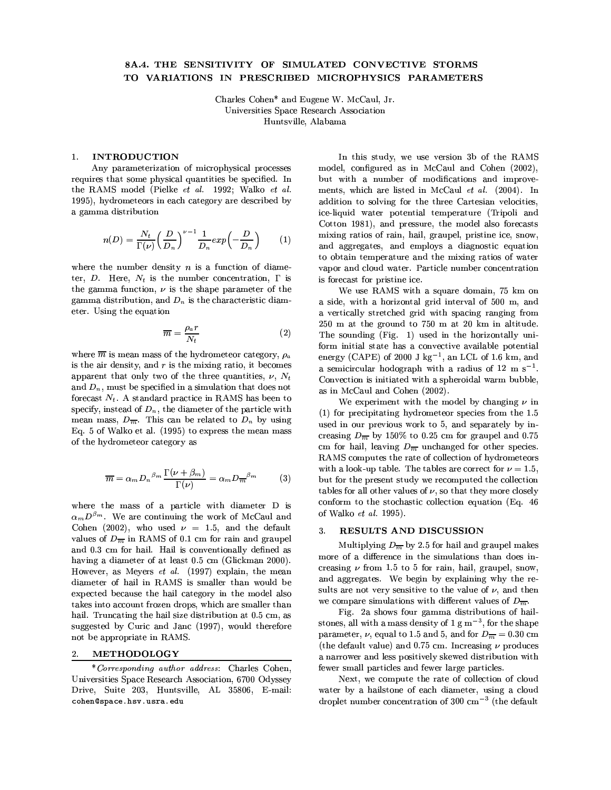# 8A.4. THE SENSITIVITY OF SIMULATED CONVECTIVE STORMS TO VARIATIONS IN PRESCRIBED MICROPHYSICS PARAMETERS

Charles Cohen\* and Eugene W. McCaul, Jr. Universities Space Research Association Huntsville, Alabama

## 1. **INTRODUCTION**

Any parameterization of microphysical processes requires that some physical quantities be specified. In the RAMS model (Pielke et al. 1992; Walko et al. 1995), hydrometeors in each category are described by a gamma distribution

$$
n(D) = \frac{N_t}{\Gamma(\nu)} \left(\frac{D}{D_n}\right)^{\nu-1} \frac{1}{D_n} exp\left(-\frac{D}{D_n}\right) \tag{1}
$$

where the number density  $n$  is a function of diameter, D. Here,  $N_t$  is the number concentration,  $\Gamma$  is the gamma function,  $\nu$  is the shape parameter of the gamma distribution, and  $D_n$  is the characteristic diameter. Using the equation

$$
\overline{m} = \frac{\rho_a r}{N_t} \tag{2}
$$

where  $\overline{m}$  is mean mass of the hydrometeor category,  $\rho_a$ is the air density, and  $r$  is the mixing ratio, it becomes apparent that only two of the three quantities,  $\nu$ ,  $N_t$ and  $D_n$ , must be specified in a simulation that does not forecast  $N_t$ . A standard practice in RAMS has been to specify, instead of  $D_n$ , the diameter of the particle with mean mass,  $D_{\overline{m}}$ . This can be related to  $D_n$  by using Eq. 5 of Walko et al. (1995) to express the mean mass of the hydrometeor category as

$$
\overline{m} = \alpha_m D_n^{\beta_m} \frac{\Gamma(\nu + \beta_m)}{\Gamma(\nu)} = \alpha_m D_m^{-\beta_m} \tag{3}
$$

where the mass of a particle with diameter D is  $\alpha_m D^{\beta_m}$ . We are continuing the work of McCaul and Cohen (2002), who used  $\nu = 1.5$ , and the default values of  $D_{\overline{m}}$  in RAMS of 0.1 cm for rain and graupel and 0.3 cm for hail. Hail is conventionally defined as having a diameter of at least 0.5 cm (Glickman 2000). However, as Meyers et al. (1997) explain, the mean diameter of hail in RAMS is smaller than would be expected because the hail category in the model also takes into account frozen drops, which are smaller than hail. Truncating the hail size distribution at 0.5 cm, as suggested by Curic and Janc (1997), would therefore not be appropriate in RAMS.

#### METHODOLOGY 2.

\*Corresponding author address: Charles Cohen, Universities Space Research Association, 6700 Odyssey Drive, Suite 203, Huntsville, AL 35806, E-mail: cohen@space.hsv.usra.edu

In this study, we use version 3b of the RAMS model, configured as in McCaul and Cohen (2002), but with a number of modifications and improvements, which are listed in McCaul et al. (2004). In addition to solving for the three Cartesian velocities, ice-liquid water potential temperature (Tripoli and Cotton 1981), and pressure, the model also forecasts mixing ratios of rain, hail, graupel, pristine ice, snow, and aggregates, and employs a diagnostic equation to obtain temperature and the mixing ratios of water vapor and cloud water. Particle number concentration is forecast for pristine ice.

We use RAMS with a square domain, 75 km on a side, with a horizontal grid interval of 500 m, and a vertically stretched grid with spacing ranging from 250 m at the ground to 750 m at 20 km in altitude. The sounding (Fig. 1) used in the horizontally uniform initial state has a convective available potential energy (CAPE) of 2000 J  $\text{kg}^{-1}$ , an LCL of 1.6 km, and a semicircular hodograph with a radius of 12 m  $s^{-1}$ . Convection is initiated with a spheroidal warm bubble, as in McCaul and Cohen (2002).

We experiment with the model by changing  $\nu$  in  $(1)$  for precipitating hydrometeor species from the 1.5 used in our previous work to 5, and separately by increasing  $D_{\overline{m}}$  by 150% to 0.25 cm for graupel and 0.75 cm for hail, leaving  $D_{\overline{m}}$  unchanged for other species. RAMS computes the rate of collection of hydrometeors with a look-up table. The tables are correct for  $\nu = 1.5$ , but for the present study we recomputed the collection tables for all other values of  $\nu$ , so that they more closely conform to the stochastic collection equation (Eq. 46) of Walko et al. 1995).

## RESULTS AND DISCUSSION 3.

Multiplying  $D_{\overline{m}}$  by 2.5 for hail and graupel makes more of a difference in the simulations than does increasing  $\nu$  from 1.5 to 5 for rain, hail, graupel, snow, and aggregates. We begin by explaining why the results are not very sensitive to the value of  $\nu$ , and then we compare simulations with different values of  $D_{\overline{m}}$ .

Fig. 2a shows four gamma distributions of hailstones, all with a mass density of  $1 \text{ g m}^{-3}$ , for the shape parameter,  $\nu$ , equal to 1.5 and 5, and for  $D_{\overline{m}} = 0.30$  cm (the default value) and 0.75 cm. Increasing  $\nu$  produces a narrower and less positively skewed distribution with fewer small particles and fewer large particles.

Next, we compute the rate of collection of cloud water by a hailstone of each diameter, using a cloud droplet number concentration of 300  $\text{cm}^{-3}$  (the default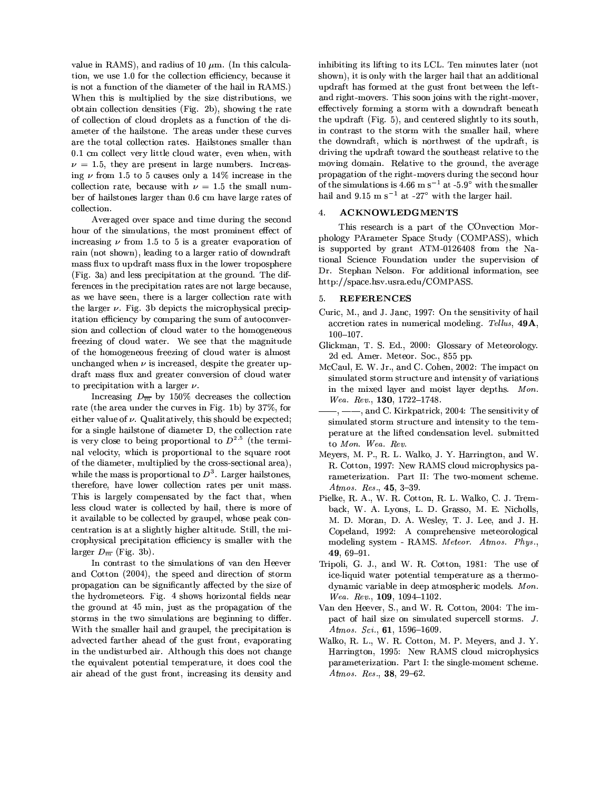value in RAMS), and radius of 10  $\mu$ m. (In this calculation, we use 1.0 for the collection efficiency, because it is not a function of the diameter of the hail in RAMS.) When this is multiplied by the size distributions, we obtain collection densities (Fig. 2b), showing the rate of collection of cloud droplets as a function of the diameter of the hailstone. The areas under these curves are the total collection rates. Hailstones smaller than 0.1 cm collect very little cloud water, even when, with  $\nu = 1.5$ , they are present in large numbers. Increasing $\nu$  from 1.5 to 5 causes only a 14% increase in the collection rate, because with  $\nu = 1.5$  the small number of hailstones larger than 0.6 cm have large rates of collection.

Averaged over space and time during the second hour of the simulations, the most prominent effect of increasing  $\nu$  from 1.5 to 5 is a greater evaporation of rain (not shown), leading to a larger ratio of downdraft mass flux to updraft mass flux in the lower troposphere (Fig. 3a) and less precipitation at the ground. The differences in the precipitation rates are not large because, as we have seen, there is a larger collection rate with the larger  $\nu$ . Fig. 3b depicts the microphysical precipitation efficiency by comparing the sum of autoconversion and collection of cloud water to the homogeneous freezing of cloud water. We see that the magnitude of the homogeneous freezing of cloud water is almost unchanged when  $\nu$  is increased, despite the greater updraft mass flux and greater conversion of cloud water to precipitation with a larger  $\nu$ .

Increasing  $D_{\overline{m}}$  by 150% decreases the collection rate (the area under the curves in Fig. 1b) by 37%, for either value of  $\nu$ . Qualitatively, this should be expected; for a single hailstone of diameter D, the collection rate is very close to being proportional to  $D^{2.5}$  (the terminal velocity, which is proportional to the square root of the diameter, multiplied by the cross-sectional area), while the mass is proportional to  $D^3$ . Larger hailstones, therefore, have lower collection rates per unit mass. This is largely compensated by the fact that, when less cloud water is collected by hail, there is more of it available to be collected by graupel, whose peak concentration is at a slightly higher altitude. Still, the microphysical precipitation efficiency is smaller with the larger  $D_{\overline{m}}$  (Fig. 3b).

In contrast to the simulations of van den Heever and Cotton (2004), the speed and direction of storm propagation can be significantly affected by the size of the hydrometeors. Fig. 4 shows horizontal fields near the ground at 45 min, just as the propagation of the storms in the two simulations are beginning to differ. With the smaller hail and graupel, the precipitation is advected farther ahead of the gust front, evaporating in the undisturbed air. Although this does not change the equivalent potential temperature, it does cool the air ahead of the gust front, increasing its density and

inhibiting its lifting to its LCL. Ten minutes later (not shown), it is only with the larger hail that an additional updraft has formed at the gust front between the leftand right-movers. This soon joins with the right-mover. effectively forming a storm with a downdraft beneath the updraft (Fig. 5), and centered slightly to its south, in contrast to the storm with the smaller hail, where the downdraft, which is northwest of the updraft, is driving the updraft toward the southeast relative to the moving domain. Relative to the ground, the average propagation of the right-movers during the second hour of the simulations is 4.66 m s<sup>-1</sup> at -5.9° with the smaller hail and 9.15 m s<sup>-1</sup> at -27° with the larger hail.

## $\overline{4}$ . **ACKNOWLEDGMENTS**

This research is a part of the COnvection Morphology PArameter Space Study (COMPASS), which is supported by grant ATM-0126408 from the National Science Foundation under the supervision of Dr. Stephan Nelson. For additional information, see http://space.hsv.usra.edu/COMPASS.

### **REFERENCES** 5.

- Curic, M., and J. Janc, 1997: On the sensitivity of hail accretion rates in numerical modeling. Tellus, 49A,  $100 - 107.$
- Glickman, T. S. Ed., 2000: Glossary of Meteorology. 2d ed. Amer. Meteor. Soc., 855 pp.
- McCaul, E. W. Jr., and C. Cohen, 2002: The impact on simulated storm structure and intensity of variations in the mixed layer and moist layer depths. Mon. Wea. Rev., 130, 1722-1748.
- -, and C. Kirkpatrick, 2004: The sensitivity of simulated storm structure and intensity to the temperature at the lifted condensation level. submitted to Mon. Wea. Rev.
- Meyers, M. P., R. L. Walko, J. Y. Harrington, and W. R. Cotton, 1997: New RAMS cloud microphysics parameterization. Part II: The two-moment scheme. Atmos. Res., 45, 3-39.
- Pielke, R. A., W. R. Cotton, R. L. Walko, C. J. Tremback, W. A. Lyons, L. D. Grasso, M. E. Nicholls, M. D. Moran, D. A. Wesley, T. J. Lee, and J. H. Copeland, 1992: A comprehensive meteorological modeling system - RAMS. Meteor. Atmos. Phys.  $49.69 - 91.$
- Tripoli, G. J., and W. R. Cotton, 1981: The use of ice-liquid water potential temperature as a thermodynamic variable in deep atmospheric models. Mon. Wea. Rev.,  $109, 1094-1102$ .
- Van den Heever, S., and W. R. Cotton, 2004: The impact of hail size on simulated supercell storms. J. Atmos. Sci., 61, 1596-1609.
- Walko, R. L., W. R. Cotton, M. P. Meyers, and J. Y. Harrington, 1995: New RAMS cloud microphysics parameterization. Part I: the single-moment scheme. Atmos. Res., 38, 29-62.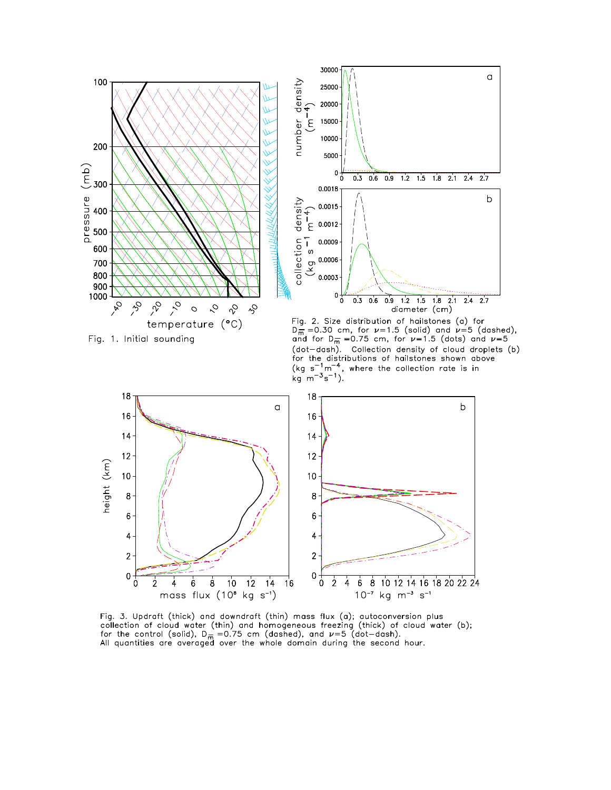

Fig. 3. Updraft (thick) and downdraft (thin) mass flux (a); autoconversion plus rig. 3. Optical currely and download currity mass has (a), detective side plast<br>collection of cloud water (thin) and homogeneous freezing (thick) of cloud water (b);<br>for the control (solid),  $D_{\overline{n}} = 0.75$  cm (dashed), a